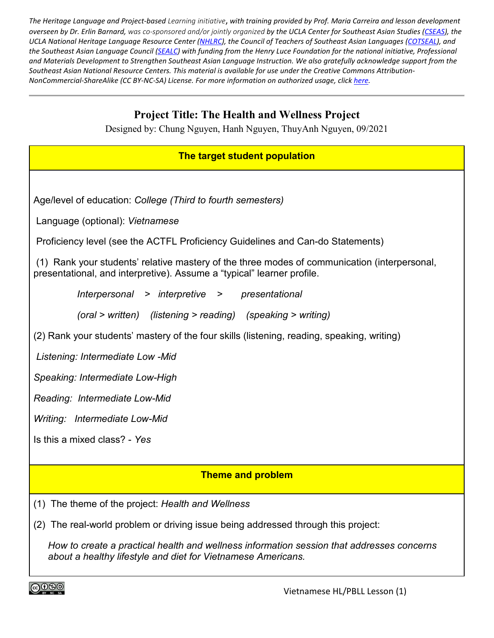The Heritage Language and Project-based Learning initiative, with training provided by Prof. Maria Carreira and lesson development overseen by Dr. Erlin Barnard, was co-sponsored and/or jointly organized by the UCLA Center for Southeast Asian Studies [\(CSEAS\)](https://www.international.ucla.edu/cseas/home), the UCLA National Heritage Language Resource Center [\(NHLRC\)](https://nhlrc.ucla.edu/nhlrc/home), the Council of Teachers of Southeast Asian Languages [\(COTSEAL\)](http://www.cotseal.net/), and the Southeast Asian Language Council [\(SEALC\)](https://sealc.wisc.edu/) with funding from the Henry Luce Foundation for the national initiative, Professional and Materials Development to Strengthen Southeast Asian Language Instruction. We also gratefully acknowledge support from the Southeast Asian National Resource Centers. This material is available for use under the Creative Commons Attribution-*NonCommercial-ShareAlike (CC BY-NC-SA) License. For more information on authorized usage, click [here.](https://creativecommons.org/licenses/by-nc-sa/3.0/)*

# **Project Title: The Health and Wellness Project**

Designed by: Chung Nguyen, Hanh Nguyen, ThuyAnh Nguyen, 09/2021

### **The target student population**

Age/level of education: *College (Third to fourth semesters)*

Language (optional): *Vietnamese*

Proficiency level (see the ACTFL Proficiency Guidelines and Can-do Statements)

(1) Rank your students' relative mastery of the three modes of communication (interpersonal, presentational, and interpretive). Assume a "typical" learner profile.

> *Interpersonal > interpretive > presentational (oral > written) (listening > reading) (speaking > writing)*

(2) Rank your students' mastery of the four skills (listening, reading, speaking, writing)

*Listening: Intermediate Low -Mid*

*Speaking: Intermediate Low-High*

*Reading: Intermediate Low-Mid*

*Writing: Intermediate Low-Mid*

Is this a mixed class? - *Yes*

### **Theme and problem**

- (1) The theme of the project: *Health and Wellness*
- (2) The real-world problem or driving issue being addressed through this project:

*How to create a practical health and wellness information session that addresses concerns about a healthy lifestyle and diet for Vietnamese Americans.*

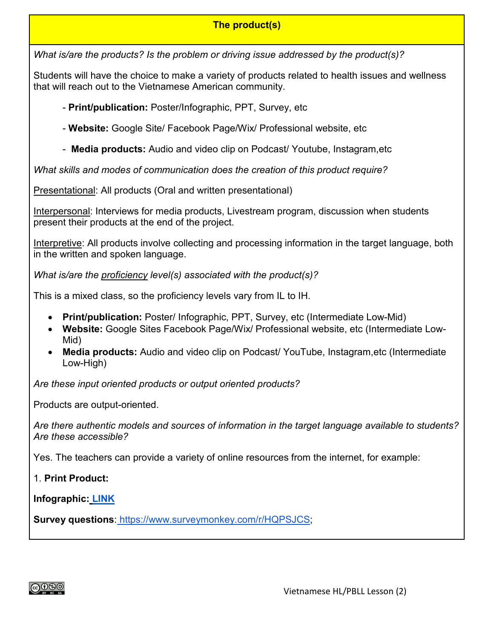### **The product(s)**

*What is/are the products? Is the problem or driving issue addressed by the product(s)?*

Students will have the choice to make a variety of products related to health issues and wellness that will reach out to the Vietnamese American community.

- **Print/publication:** Poster/Infographic, PPT, Survey, etc

- **Website:** Google Site/ Facebook Page/Wix/ Professional website, etc

- **Media products:** Audio and video clip on Podcast/ Youtube, Instagram,etc

*What skills and modes of communication does the creation of this product require?*

Presentational: All products (Oral and written presentational)

Interpersonal: Interviews for media products, Livestream program, discussion when students present their products at the end of the project.

Interpretive: All products involve collecting and processing information in the target language, both in the written and spoken language.

*What is/are the proficiency level(s) associated with the product(s)?*

This is a mixed class, so the proficiency levels vary from IL to IH.

- **Print/publication:** Poster/ Infographic, PPT, Survey, etc (Intermediate Low-Mid)
- **Website:** Google Sites Facebook Page/Wix/ Professional website, etc (Intermediate Low-Mid)
- **Media products:** Audio and video clip on Podcast/ YouTube, Instagram,etc (Intermediate Low-High)

*Are these input oriented products or output oriented products?*

Products are output-oriented.

*Are there authentic models and sources of information in the target language available to students? Are these accessible?*

Yes. The teachers can provide a variety of online resources from the internet, for example:

1. **Print Product:**

**Infographic: [LINK](https://www.google.com/search?q=infographic+v%E1%BB%81+ch%E1%BA%BF+%C4%91%E1%BB%99+%C4%83n+u%E1%BB%91ng+l%C3%A0nh+m%E1%BA%A1nh&rlz=1C1EJFC_enVN860US888&sxsrf=ALeKk03umqbd47-ox_B-v2p-wSiARUmPCg:1623960092193&source=lnms&tbm=isch&sa=X&ved=2ahUKEwi2jbLjup_xAhUIRzABHcFyCr0Q_AUoAXoECAEQAw&biw=1163&bih=537)**

**Survey questions**: [https://www.surveymonkey.com/r/HQPSJCS;](https://www.surveymonkey.com/r/HQPSJCS)

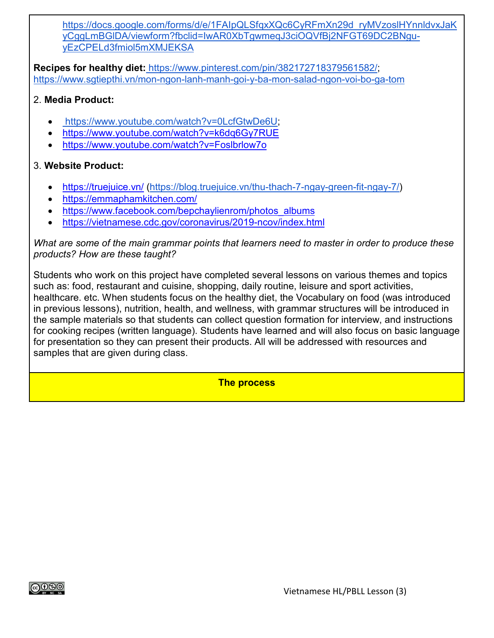[https://docs.google.com/forms/d/e/1FAIpQLSfqxXQc6CyRFmXn29d\\_ryMVzoslHYnnldvxJaK](https://docs.google.com/forms/d/e/1FAIpQLSfqxXQc6CyRFmXn29d_ryMVzoslHYnnldvxJaKyCggLmBGlDA/viewform?fbclid=IwAR0XbTgwmeqJ3ciOQVfBj2NFGT69DC2BNgu-yEzCPELd3fmiol5mXMJEKSA) [yCggLmBGlDA/viewform?fbclid=IwAR0XbTgwmeqJ3ciOQVfBj2NFGT69DC2BNgu](https://docs.google.com/forms/d/e/1FAIpQLSfqxXQc6CyRFmXn29d_ryMVzoslHYnnldvxJaKyCggLmBGlDA/viewform?fbclid=IwAR0XbTgwmeqJ3ciOQVfBj2NFGT69DC2BNgu-yEzCPELd3fmiol5mXMJEKSA)[yEzCPELd3fmiol5mXMJEKSA](https://docs.google.com/forms/d/e/1FAIpQLSfqxXQc6CyRFmXn29d_ryMVzoslHYnnldvxJaKyCggLmBGlDA/viewform?fbclid=IwAR0XbTgwmeqJ3ciOQVfBj2NFGT69DC2BNgu-yEzCPELd3fmiol5mXMJEKSA)

**Recipes for healthy diet:** <https://www.pinterest.com/pin/382172718379561582/>[;](https://www.sgtiepthi.vn/mon-ngon-lanh-manh-goi-y-ba-mon-salad-ngon-voi-bo-ga-tom/) [https://www.sgtiepthi.vn/mon-ngon-lanh-manh-goi-y-ba-mon-salad-ngon-voi-bo-ga-tom](https://www.sgtiepthi.vn/mon-ngon-lanh-manh-goi-y-ba-mon-salad-ngon-voi-bo-ga-tom/)

### 2. **Media Product:**

- [https://www.youtube.com/watch?v=0LcfGtwDe6U;](https://www.youtube.com/watch?v=0LcfGtwDe6U)
- <https://www.youtube.com/watch?v=k6dq6Gy7RUE>
- <https://www.youtube.com/watch?v=Foslbrlow7o>

### 3. **Website Product:**

- <https://truejuice.vn/> [\(https://blog.truejuice.vn/thu-thach-7-ngay-green-fit-ngay-7/\)](https://blog.truejuice.vn/thu-thach-7-ngay-green-fit-ngay-7/)
- <https://emmaphamkitchen.com/>
- [https://www.facebook.com/bepchaylienrom/photos\\_albums](https://www.facebook.com/bepchaylienrom/photos_albums)
- <https://vietnamese.cdc.gov/coronavirus/2019-ncov/index.html>

*What are some of the main grammar points that learners need to master in order to produce these products? How are these taught?*

Students who work on this project have completed several lessons on various themes and topics such as: food, restaurant and cuisine, shopping, daily routine, leisure and sport activities, healthcare. etc. When students focus on the healthy diet, the Vocabulary on food (was introduced in previous lessons), nutrition, health, and wellness, with grammar structures will be introduced in the sample materials so that students can collect question formation for interview, and instructions for cooking recipes (written language). Students have learned and will also focus on basic language for presentation so they can present their products. All will be addressed with resources and samples that are given during class.

**The process**

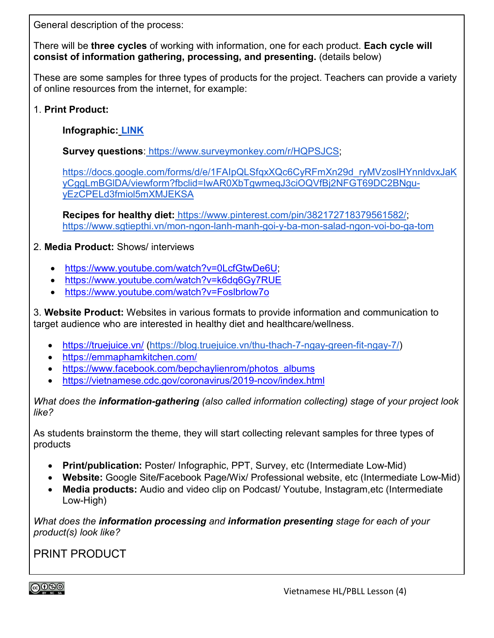General description of the process:

There will be **three cycles** of working with information, one for each product. **Each cycle will consist of information gathering, processing, and presenting.** (details below)

These are some samples for three types of products for the project. Teachers can provide a variety of online resources from the internet, for example:

1. **Print Product:**

**Infographic: [LINK](https://www.google.com/search?q=infographic+v%E1%BB%81+ch%E1%BA%BF+%C4%91%E1%BB%99+%C4%83n+u%E1%BB%91ng+l%C3%A0nh+m%E1%BA%A1nh&rlz=1C1EJFC_enVN860US888&sxsrf=ALeKk03umqbd47-ox_B-v2p-wSiARUmPCg:1623960092193&source=lnms&tbm=isch&sa=X&ved=2ahUKEwi2jbLjup_xAhUIRzABHcFyCr0Q_AUoAXoECAEQAw&biw=1163&bih=537)**

**Survey questions**: [https://www.surveymonkey.com/r/HQPSJCS;](https://www.surveymonkey.com/r/HQPSJCS)

[https://docs.google.com/forms/d/e/1FAIpQLSfqxXQc6CyRFmXn29d\\_ryMVzoslHYnnldvxJaK](https://docs.google.com/forms/d/e/1FAIpQLSfqxXQc6CyRFmXn29d_ryMVzoslHYnnldvxJaKyCggLmBGlDA/viewform?fbclid=IwAR0XbTgwmeqJ3ciOQVfBj2NFGT69DC2BNgu-yEzCPELd3fmiol5mXMJEKSA) [yCggLmBGlDA/viewform?fbclid=IwAR0XbTgwmeqJ3ciOQVfBj2NFGT69DC2BNgu](https://docs.google.com/forms/d/e/1FAIpQLSfqxXQc6CyRFmXn29d_ryMVzoslHYnnldvxJaKyCggLmBGlDA/viewform?fbclid=IwAR0XbTgwmeqJ3ciOQVfBj2NFGT69DC2BNgu-yEzCPELd3fmiol5mXMJEKSA)[yEzCPELd3fmiol5mXMJEKSA](https://docs.google.com/forms/d/e/1FAIpQLSfqxXQc6CyRFmXn29d_ryMVzoslHYnnldvxJaKyCggLmBGlDA/viewform?fbclid=IwAR0XbTgwmeqJ3ciOQVfBj2NFGT69DC2BNgu-yEzCPELd3fmiol5mXMJEKSA)

**Recipes for healthy diet:** <https://www.pinterest.com/pin/382172718379561582/>[;](https://www.sgtiepthi.vn/mon-ngon-lanh-manh-goi-y-ba-mon-salad-ngon-voi-bo-ga-tom/) [https://www.sgtiepthi.vn/mon-ngon-lanh-manh-goi-y-ba-mon-salad-ngon-voi-bo-ga-tom](https://www.sgtiepthi.vn/mon-ngon-lanh-manh-goi-y-ba-mon-salad-ngon-voi-bo-ga-tom/)

2. **Media Product:** Shows/ interviews

- [https://www.youtube.com/watch?v=0LcfGtwDe6U;](https://www.youtube.com/watch?v=0LcfGtwDe6U)
- <https://www.youtube.com/watch?v=k6dq6Gy7RUE>
- <https://www.youtube.com/watch?v=Foslbrlow7o>

3. **Website Product:** Websites in various formats to provide information and communication to target audience who are interested in healthy diet and healthcare/wellness.

- <https://truejuice.vn/> [\(https://blog.truejuice.vn/thu-thach-7-ngay-green-fit-ngay-7/\)](https://blog.truejuice.vn/thu-thach-7-ngay-green-fit-ngay-7/)
- <https://emmaphamkitchen.com/>
- [https://www.facebook.com/bepchaylienrom/photos\\_albums](https://www.facebook.com/bepchaylienrom/photos_albums)
- <https://vietnamese.cdc.gov/coronavirus/2019-ncov/index.html>

*What does the information-gathering (also called information collecting) stage of your project look like?*

As students brainstorm the theme, they will start collecting relevant samples for three types of products

- **Print/publication:** Poster/ Infographic, PPT, Survey, etc (Intermediate Low-Mid)
- **Website:** Google Site**/**Facebook Page/Wix/ Professional website, etc (Intermediate Low-Mid)
- **Media products:** Audio and video clip on Podcast/ Youtube, Instagram,etc (Intermediate Low-High)

*What does the information processing and information presenting stage for each of your product(s) look like?*

PRINT PRODUCT

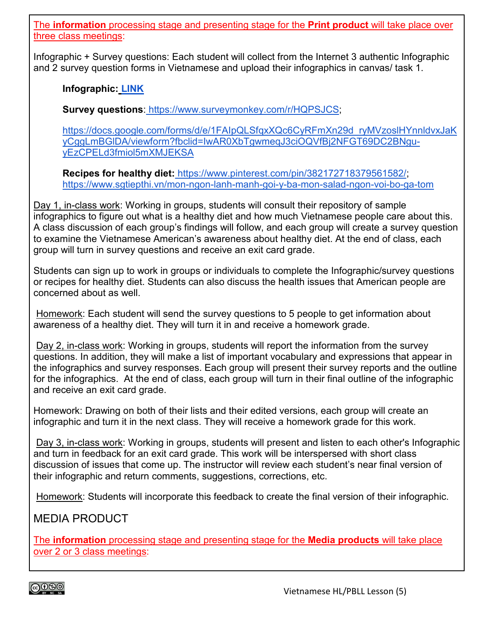The **information** processing stage and presenting stage for the **Print product** will take place over three class meetings:

Infographic + Survey questions: Each student will collect from the Internet 3 authentic Infographic and 2 survey question forms in Vietnamese and upload their infographics in canvas/ task 1.

**Infographic: [LINK](https://www.google.com/search?q=infographic+v%E1%BB%81+ch%E1%BA%BF+%C4%91%E1%BB%99+%C4%83n+u%E1%BB%91ng+l%C3%A0nh+m%E1%BA%A1nh&rlz=1C1EJFC_enVN860US888&sxsrf=ALeKk03umqbd47-ox_B-v2p-wSiARUmPCg:1623960092193&source=lnms&tbm=isch&sa=X&ved=2ahUKEwi2jbLjup_xAhUIRzABHcFyCr0Q_AUoAXoECAEQAw&biw=1163&bih=537)**

**Survey questions**: [https://www.surveymonkey.com/r/HQPSJCS;](https://www.surveymonkey.com/r/HQPSJCS)

[https://docs.google.com/forms/d/e/1FAIpQLSfqxXQc6CyRFmXn29d\\_ryMVzoslHYnnldvxJaK](https://docs.google.com/forms/d/e/1FAIpQLSfqxXQc6CyRFmXn29d_ryMVzoslHYnnldvxJaKyCggLmBGlDA/viewform?fbclid=IwAR0XbTgwmeqJ3ciOQVfBj2NFGT69DC2BNgu-yEzCPELd3fmiol5mXMJEKSA) [yCggLmBGlDA/viewform?fbclid=IwAR0XbTgwmeqJ3ciOQVfBj2NFGT69DC2BNgu](https://docs.google.com/forms/d/e/1FAIpQLSfqxXQc6CyRFmXn29d_ryMVzoslHYnnldvxJaKyCggLmBGlDA/viewform?fbclid=IwAR0XbTgwmeqJ3ciOQVfBj2NFGT69DC2BNgu-yEzCPELd3fmiol5mXMJEKSA)[yEzCPELd3fmiol5mXMJEKSA](https://docs.google.com/forms/d/e/1FAIpQLSfqxXQc6CyRFmXn29d_ryMVzoslHYnnldvxJaKyCggLmBGlDA/viewform?fbclid=IwAR0XbTgwmeqJ3ciOQVfBj2NFGT69DC2BNgu-yEzCPELd3fmiol5mXMJEKSA)

**Recipes for healthy diet:** <https://www.pinterest.com/pin/382172718379561582/>[;](https://www.sgtiepthi.vn/mon-ngon-lanh-manh-goi-y-ba-mon-salad-ngon-voi-bo-ga-tom/) [https://www.sgtiepthi.vn/mon-ngon-lanh-manh-goi-y-ba-mon-salad-ngon-voi-bo-ga-tom](https://www.sgtiepthi.vn/mon-ngon-lanh-manh-goi-y-ba-mon-salad-ngon-voi-bo-ga-tom/)

Day 1, in-class work: Working in groups, students will consult their repository of sample infographics to figure out what is a healthy diet and how much Vietnamese people care about this. A class discussion of each group's findings will follow, and each group will create a survey question to examine the Vietnamese American's awareness about healthy diet. At the end of class, each group will turn in survey questions and receive an exit card grade.

Students can sign up to work in groups or individuals to complete the Infographic/survey questions or recipes for healthy diet. Students can also discuss the health issues that American people are concerned about as well.

Homework: Each student will send the survey questions to 5 people to get information about awareness of a healthy diet. They will turn it in and receive a homework grade.

Day 2, in-class work: Working in groups, students will report the information from the survey questions. In addition, they will make a list of important vocabulary and expressions that appear in the infographics and survey responses. Each group will present their survey reports and the outline for the infographics. At the end of class, each group will turn in their final outline of the infographic and receive an exit card grade.

Homework: Drawing on both of their lists and their edited versions, each group will create an infographic and turn it in the next class. They will receive a homework grade for this work.

Day 3, in-class work: Working in groups, students will present and listen to each other's Infographic and turn in feedback for an exit card grade. This work will be interspersed with short class discussion of issues that come up. The instructor will review each student's near final version of their infographic and return comments, suggestions, corrections, etc.

Homework: Students will incorporate this feedback to create the final version of their infographic.

# MEDIA PRODUCT

The **information** processing stage and presenting stage for the **Media products** will take place over 2 or 3 class meetings:

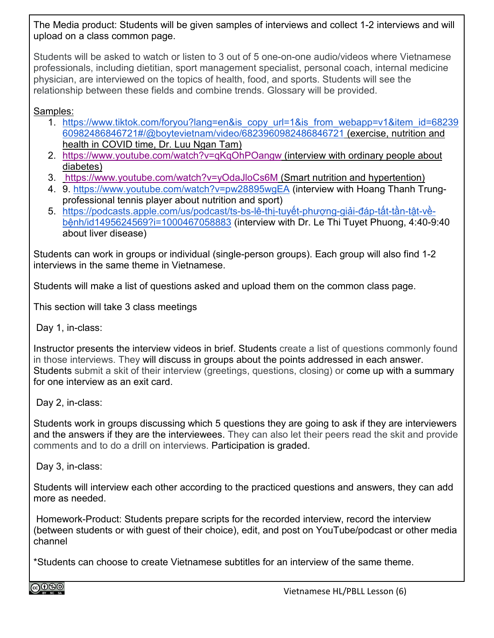The Media product: Students will be given samples of interviews and collect 1-2 interviews and will upload on a class common page.

Students will be asked to watch or listen to 3 out of 5 one-on-one audio/videos where Vietnamese professionals, including dietitian, sport management specialist, personal coach, internal medicine physician, are interviewed on the topics of health, food, and sports. Students will see the relationship between these fields and combine trends. Glossary will be provided.

Samples:

- 1. [https://www.tiktok.com/foryou?lang=en&is\\_copy\\_url=1&is\\_from\\_webapp=v1&item\\_id=68239](https://www.tiktok.com/foryou?lang=en&is_copy_url=1&is_from_webapp=v1&item_id=6823960982486846721#/@boytevietnam/video/6823960982486846721) [60982486846721#/@boytevietnam/video/6823960982486846721](https://www.tiktok.com/foryou?lang=en&is_copy_url=1&is_from_webapp=v1&item_id=6823960982486846721#/@boytevietnam/video/6823960982486846721) (exercise, nutrition and health in COVID time, Dr. Luu Ngan Tam)
- 2. <https://www.youtube.com/watch?v=qKqOhPOangw> (interview with ordinary people about diabetes)
- 3. <https://www.youtube.com/watch?v=yOdaJloCs6M> (Smart nutrition and hypertention)
- 4. 9.<https://www.youtube.com/watch?v=pw28895wgEA> (interview with Hoang Thanh Trungprofessional tennis player about nutrition and sport)
- 5. [https://podcasts.apple.com/us/podcast/ts-bs-lê-](https://podcasts.apple.com/us/podcast/ts-bs-l%C3%AA-th%E1%BB%8B-tuy%E1%BA%BFt-ph%C6%B0%E1%BB%A3ng-gi%E1%BA%A3i-%C4%91%C3%A1p-t%E1%BA%A5t-t%E1%BA%A7n-t%E1%BA%ADt-v%E1%BB%81-b%E1%BB%87nh/id1495624569?i=1000467058883)thị-tuyết-phượng-giải-đáp-tất-tần-tật-về[bệnh/id1495624569?i=1000467058883](https://podcasts.apple.com/us/podcast/ts-bs-l%C3%AA-th%E1%BB%8B-tuy%E1%BA%BFt-ph%C6%B0%E1%BB%A3ng-gi%E1%BA%A3i-%C4%91%C3%A1p-t%E1%BA%A5t-t%E1%BA%A7n-t%E1%BA%ADt-v%E1%BB%81-b%E1%BB%87nh/id1495624569?i=1000467058883) (interview with Dr. Le Thi Tuyet Phuong, 4:40-9:40 about liver disease)

Students can work in groups or individual (single-person groups). Each group will also find 1-2 interviews in the same theme in Vietnamese.

Students will make a list of questions asked and upload them on the common class page.

This section will take 3 class meetings

Day 1, in-class:

Instructor presents the interview videos in brief. Students create a list of questions commonly found in those interviews. They will discuss in groups about the points addressed in each answer. Students submit a skit of their interview (greetings, questions, closing) or come up with a summary for one interview as an exit card.

Day 2, in-class:

Students work in groups discussing which 5 questions they are going to ask if they are interviewers and the answers if they are the interviewees. They can also let their peers read the skit and provide comments and to do a drill on interviews. Participation is graded.

Day 3, in-class:

Students will interview each other according to the practiced questions and answers, they can add more as needed.

Homework-Product: Students prepare scripts for the recorded interview, record the interview (between students or with guest of their choice), edit, and post on YouTube/podcast or other media channel

\*Students can choose to create Vietnamese subtitles for an interview of the same theme.

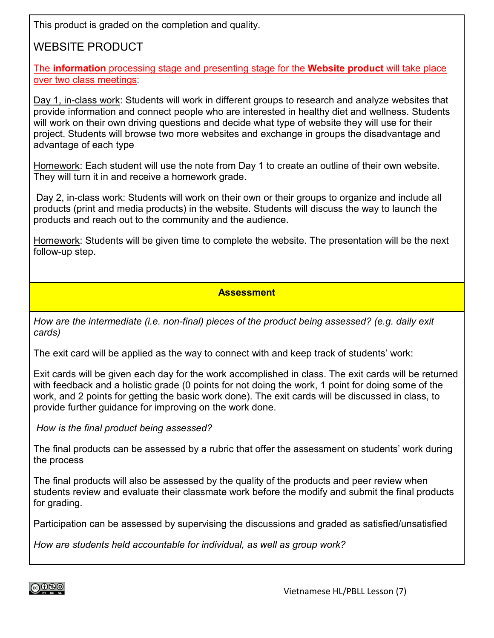This product is graded on the completion and quality.

# WEBSITE PRODUCT

The **information** processing stage and presenting stage for the **Website product** will take place over two class meetings:

Day 1, in-class work: Students will work in different groups to research and analyze websites that provide information and connect people who are interested in healthy diet and wellness. Students will work on their own driving questions and decide what type of website they will use for their project. Students will browse two more websites and exchange in groups the disadvantage and advantage of each type

Homework: Each student will use the note from Day 1 to create an outline of their own website. They will turn it in and receive a homework grade.

Day 2, in-class work: Students will work on their own or their groups to organize and include all products (print and media products) in the website. Students will discuss the way to launch the products and reach out to the community and the audience.

Homework: Students will be given time to complete the website. The presentation will be the next follow-up step.

#### **Assessment**

*How are the intermediate (i.e. non-final) pieces of the product being assessed? (e.g. daily exit cards)*

The exit card will be applied as the way to connect with and keep track of students' work:

Exit cards will be given each day for the work accomplished in class. The exit cards will be returned with feedback and a holistic grade (0 points for not doing the work, 1 point for doing some of the work, and 2 points for getting the basic work done). The exit cards will be discussed in class, to provide further guidance for improving on the work done.

*How is the final product being assessed?*

The final products can be assessed by a rubric that offer the assessment on students' work during the process

The final products will also be assessed by the quality of the products and peer review when students review and evaluate their classmate work before the modify and submit the final products for grading.

Participation can be assessed by supervising the discussions and graded as satisfied/unsatisfied

*How are students held accountable for individual, as well as group work?*